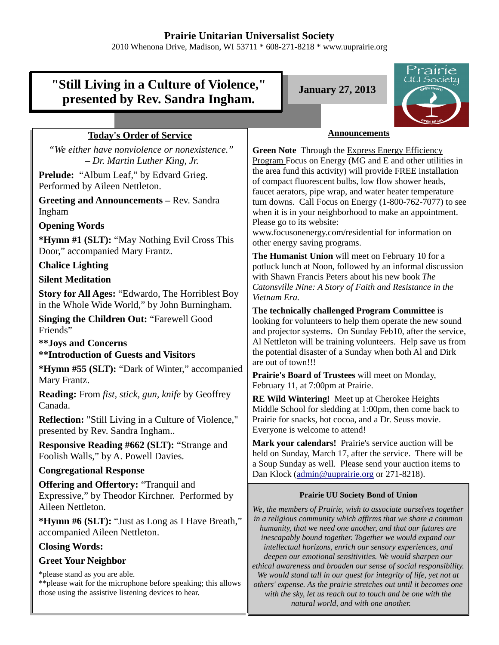# **Prairie Unitarian Universalist Society**

2010 Whenona Drive, Madison, WI 53711 \* 608-271-8218 \* www.uuprairie.org

#### rairie UU Society **"Still Living in a Culture of Violence," January 27, 2013 presented by Rev. Sandra Ingham. Announcements Today's Order of Service** *"We either have nonviolence or nonexistence."*  **Green Note** Through the Express Energy Efficiency *– Dr. Martin Luther King, Jr.* Program Focus on Energy (MG and E and other utilities in the area fund this activity) will provide FREE installation **Prelude:** "Album Leaf," by Edvard Grieg. of compact fluorescent bulbs, low flow shower heads, Performed by Aileen Nettleton. faucet aerators, pipe wrap, and water heater temperature **Greeting and Announcements –** Rev. Sandra turn downs. Call Focus on Energy (1-800-762-7077) to see Ingham when it is in your neighborhood to make an appointment. Please go to its website: **Opening Words** www.focusonenergy.com/residential for information on **\*Hymn #1 (SLT):** "May Nothing Evil Cross This other energy saving programs. Door," accompanied Mary Frantz. **The Humanist Union** will meet on February 10 for a **Chalice Lighting** potluck lunch at Noon, followed by an informal discussion with Shawn Francis Peters about his new book *The* **Silent Meditation** *Catonsville Nine: A Story of Faith and Resistance in the* **Story for All Ages:** "Edwardo, The Horriblest Boy *Vietnam Era.* in the Whole Wide World," by John Burningham. **The technically challenged Program Committee** is **Singing the Children Out:** "Farewell Good looking for volunteers to help them operate the new sound Friends" and projector systems. On Sunday Feb10, after the service, Al Nettleton will be training volunteers. Help save us from **\*\*Joys and Concerns** the potential disaster of a Sunday when both Al and Dirk **\*\*Introduction of Guests and Visitors** are out of town!!! **\*Hymn #55 (SLT):** "Dark of Winter," accompanied **Prairie's Board of Trustees** will meet on Monday, Mary Frantz. February 11, at 7:00pm at Prairie. **Reading:** From *fist, stick, gun, knife* by Geoffrey **RE Wild Wintering!** Meet up at Cherokee Heights Canada. Middle School for sledding at 1:00pm, then come back to **Reflection:** "Still Living in a Culture of Violence," Prairie for snacks, hot cocoa, and a Dr. Seuss movie. Everyone is welcome to attend! presented by Rev. Sandra Ingham.. **Mark your calendars!** Prairie's service auction will be **Responsive Reading #662 (SLT):** "Strange and held on Sunday, March 17, after the service. There will be Foolish Walls," by A. Powell Davies. a Soup Sunday as well. Please send your auction items to **Congregational Response** Dan Klock (admin@uuprairie.org or 271-8218). **Offering and Offertory:** "Tranquil and Expressive," by Theodor Kirchner. Performed by **Prairie UU Society Bond of Union** Aileen Nettleton. *We, the members of Prairie, wish to associate ourselves together in a religious community which affirms that we share a common* **\*Hymn #6 (SLT):** "Just as Long as I Have Breath," *humanity, that we need one another, and that our futures are* accompanied Aileen Nettleton. *inescapably bound together. Together we would expand our* **Closing Words:**  *intellectual horizons, enrich our sensory experiences, and deepen our emotional sensitivities. We would sharpen our* **Greet Your Neighbor** *ethical awareness and broaden our sense of social responsibility.* \*please stand as you are able. *We would stand tall in our quest for integrity of life, yet not at* \*\*please wait for the microphone before speaking; this allows *others' expense. As the prairie stretches out until it becomes one* those using the assistive listening devices to hear. *with the sky, let us reach out to touch and be one with the natural world, and with one another.*